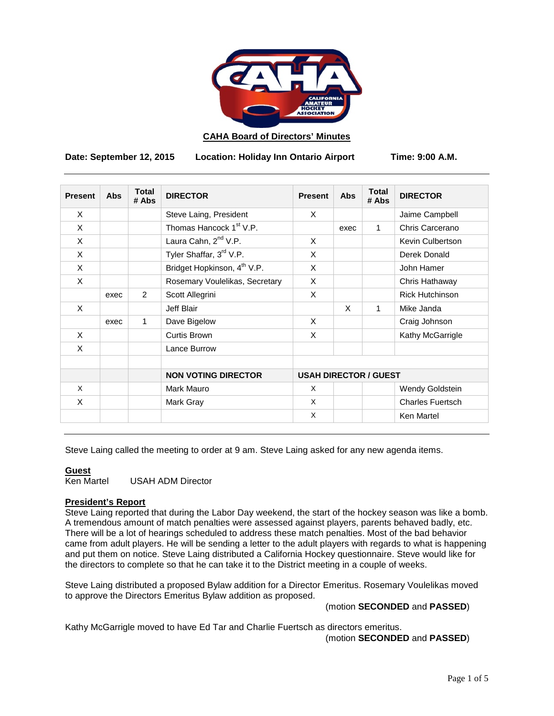

## **CAHA Board of Directors' Minutes**

**Date: September 12, 2015 Location: Holiday Inn Ontario Airport Time: 9:00 A.M.**

| <b>Present</b> | <b>Abs</b> | <b>Total</b><br># Abs | <b>DIRECTOR</b>                         | <b>Present</b>               | Abs  | <b>Total</b><br># Abs | <b>DIRECTOR</b>         |
|----------------|------------|-----------------------|-----------------------------------------|------------------------------|------|-----------------------|-------------------------|
| $\times$       |            |                       | Steve Laing, President                  | X                            |      |                       | Jaime Campbell          |
| X              |            |                       | Thomas Hancock 1 <sup>st</sup> V.P.     |                              | exec | $\mathbf{1}$          | Chris Carcerano         |
| X              |            |                       | Laura Cahn, 2 <sup>nd</sup> V.P.        | X                            |      |                       | Kevin Culbertson        |
| $\times$       |            |                       | Tyler Shaffar, 3rd V.P.                 | X                            |      |                       | Derek Donald            |
| $\times$       |            |                       | Bridget Hopkinson, 4 <sup>th</sup> V.P. | X                            |      |                       | John Hamer              |
| X              |            |                       | Rosemary Voulelikas, Secretary          | X                            |      |                       | Chris Hathaway          |
|                | exec       | 2                     | Scott Allegrini                         | X                            |      |                       | <b>Rick Hutchinson</b>  |
| $\times$       |            |                       | Jeff Blair                              |                              | X    | 1                     | Mike Janda              |
|                | exec       | 1                     | Dave Bigelow                            | X                            |      |                       | Craig Johnson           |
| X              |            |                       | Curtis Brown                            | X                            |      |                       | Kathy McGarrigle        |
| X              |            |                       | Lance Burrow                            |                              |      |                       |                         |
|                |            |                       |                                         |                              |      |                       |                         |
|                |            |                       | <b>NON VOTING DIRECTOR</b>              | <b>USAH DIRECTOR / GUEST</b> |      |                       |                         |
| $\times$       |            |                       | Mark Mauro                              | $\times$                     |      |                       | Wendy Goldstein         |
| X              |            |                       | Mark Gray                               | X                            |      |                       | <b>Charles Fuertsch</b> |
|                |            |                       |                                         | X                            |      |                       | Ken Martel              |

Steve Laing called the meeting to order at 9 am. Steve Laing asked for any new agenda items.

**Guest**<br>Ken Martel **USAH ADM Director** 

## **President's Report**

Steve Laing reported that during the Labor Day weekend, the start of the hockey season was like a bomb. A tremendous amount of match penalties were assessed against players, parents behaved badly, etc. There will be a lot of hearings scheduled to address these match penalties. Most of the bad behavior came from adult players. He will be sending a letter to the adult players with regards to what is happening and put them on notice. Steve Laing distributed a California Hockey questionnaire. Steve would like for the directors to complete so that he can take it to the District meeting in a couple of weeks.

Steve Laing distributed a proposed Bylaw addition for a Director Emeritus. Rosemary Voulelikas moved to approve the Directors Emeritus Bylaw addition as proposed.

(motion **SECONDED** and **PASSED**)

Kathy McGarrigle moved to have Ed Tar and Charlie Fuertsch as directors emeritus. (motion **SECONDED** and **PASSED**)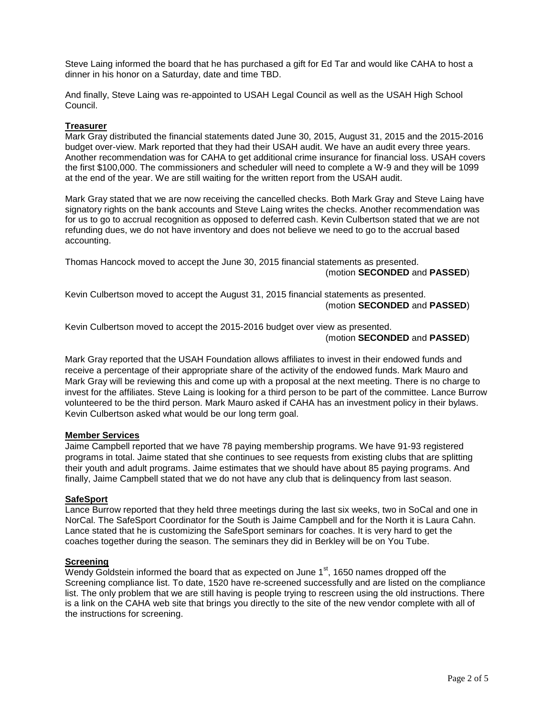Steve Laing informed the board that he has purchased a gift for Ed Tar and would like CAHA to host a dinner in his honor on a Saturday, date and time TBD.

And finally, Steve Laing was re-appointed to USAH Legal Council as well as the USAH High School Council.

## **Treasurer**

Mark Gray distributed the financial statements dated June 30, 2015, August 31, 2015 and the 2015-2016 budget over-view. Mark reported that they had their USAH audit. We have an audit every three years. Another recommendation was for CAHA to get additional crime insurance for financial loss. USAH covers the first \$100,000. The commissioners and scheduler will need to complete a W-9 and they will be 1099 at the end of the year. We are still waiting for the written report from the USAH audit.

Mark Gray stated that we are now receiving the cancelled checks. Both Mark Gray and Steve Laing have signatory rights on the bank accounts and Steve Laing writes the checks. Another recommendation was for us to go to accrual recognition as opposed to deferred cash. Kevin Culbertson stated that we are not refunding dues, we do not have inventory and does not believe we need to go to the accrual based accounting.

Thomas Hancock moved to accept the June 30, 2015 financial statements as presented. (motion **SECONDED** and **PASSED**)

Kevin Culbertson moved to accept the August 31, 2015 financial statements as presented. (motion **SECONDED** and **PASSED**)

Kevin Culbertson moved to accept the 2015-2016 budget over view as presented. (motion **SECONDED** and **PASSED**)

Mark Gray reported that the USAH Foundation allows affiliates to invest in their endowed funds and receive a percentage of their appropriate share of the activity of the endowed funds. Mark Mauro and Mark Gray will be reviewing this and come up with a proposal at the next meeting. There is no charge to invest for the affiliates. Steve Laing is looking for a third person to be part of the committee. Lance Burrow volunteered to be the third person. Mark Mauro asked if CAHA has an investment policy in their bylaws. Kevin Culbertson asked what would be our long term goal.

## **Member Services**

Jaime Campbell reported that we have 78 paying membership programs. We have 91-93 registered programs in total. Jaime stated that she continues to see requests from existing clubs that are splitting their youth and adult programs. Jaime estimates that we should have about 85 paying programs. And finally, Jaime Campbell stated that we do not have any club that is delinquency from last season.

## **SafeSport**

Lance Burrow reported that they held three meetings during the last six weeks, two in SoCal and one in NorCal. The SafeSport Coordinator for the South is Jaime Campbell and for the North it is Laura Cahn. Lance stated that he is customizing the SafeSport seminars for coaches. It is very hard to get the coaches together during the season. The seminars they did in Berkley will be on You Tube.

## **Screening**

Wendy Goldstein informed the board that as expected on June  $1<sup>st</sup>$ , 1650 names dropped off the Screening compliance list. To date, 1520 have re-screened successfully and are listed on the compliance list. The only problem that we are still having is people trying to rescreen using the old instructions. There is a link on the CAHA web site that brings you directly to the site of the new vendor complete with all of the instructions for screening.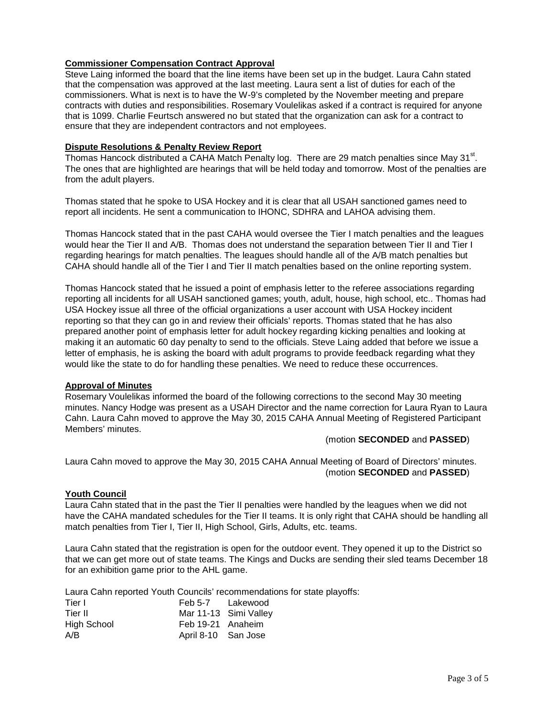# **Commissioner Compensation Contract Approval**

Steve Laing informed the board that the line items have been set up in the budget. Laura Cahn stated that the compensation was approved at the last meeting. Laura sent a list of duties for each of the commissioners. What is next is to have the W-9's completed by the November meeting and prepare contracts with duties and responsibilities. Rosemary Voulelikas asked if a contract is required for anyone that is 1099. Charlie Feurtsch answered no but stated that the organization can ask for a contract to ensure that they are independent contractors and not employees.

## **Dispute Resolutions & Penalty Review Report**

Thomas Hancock distributed a CAHA Match Penalty log. There are 29 match penalties since May 31 $^{\rm st}$ . The ones that are highlighted are hearings that will be held today and tomorrow. Most of the penalties are from the adult players.

Thomas stated that he spoke to USA Hockey and it is clear that all USAH sanctioned games need to report all incidents. He sent a communication to IHONC, SDHRA and LAHOA advising them.

Thomas Hancock stated that in the past CAHA would oversee the Tier I match penalties and the leagues would hear the Tier II and A/B. Thomas does not understand the separation between Tier II and Tier I regarding hearings for match penalties. The leagues should handle all of the A/B match penalties but CAHA should handle all of the Tier I and Tier II match penalties based on the online reporting system.

Thomas Hancock stated that he issued a point of emphasis letter to the referee associations regarding reporting all incidents for all USAH sanctioned games; youth, adult, house, high school, etc.. Thomas had USA Hockey issue all three of the official organizations a user account with USA Hockey incident reporting so that they can go in and review their officials' reports. Thomas stated that he has also prepared another point of emphasis letter for adult hockey regarding kicking penalties and looking at making it an automatic 60 day penalty to send to the officials. Steve Laing added that before we issue a letter of emphasis, he is asking the board with adult programs to provide feedback regarding what they would like the state to do for handling these penalties. We need to reduce these occurrences.

## **Approval of Minutes**

Rosemary Voulelikas informed the board of the following corrections to the second May 30 meeting minutes. Nancy Hodge was present as a USAH Director and the name correction for Laura Ryan to Laura Cahn. Laura Cahn moved to approve the May 30, 2015 CAHA Annual Meeting of Registered Participant Members' minutes.

## (motion **SECONDED** and **PASSED**)

Laura Cahn moved to approve the May 30, 2015 CAHA Annual Meeting of Board of Directors' minutes. (motion **SECONDED** and **PASSED**)

## **Youth Council**

Laura Cahn stated that in the past the Tier II penalties were handled by the leagues when we did not have the CAHA mandated schedules for the Tier II teams. It is only right that CAHA should be handling all match penalties from Tier I, Tier II, High School, Girls, Adults, etc. teams.

Laura Cahn stated that the registration is open for the outdoor event. They opened it up to the District so that we can get more out of state teams. The Kings and Ducks are sending their sled teams December 18 for an exhibition game prior to the AHL game.

Laura Cahn reported Youth Councils' recommendations for state playoffs:

| Tier I             | Feb 5-7 Lakewood      |  |
|--------------------|-----------------------|--|
| Tier II            | Mar 11-13 Simi Valley |  |
| <b>High School</b> | Feb 19-21 Anaheim     |  |
| A/B                | April 8-10 San Jose   |  |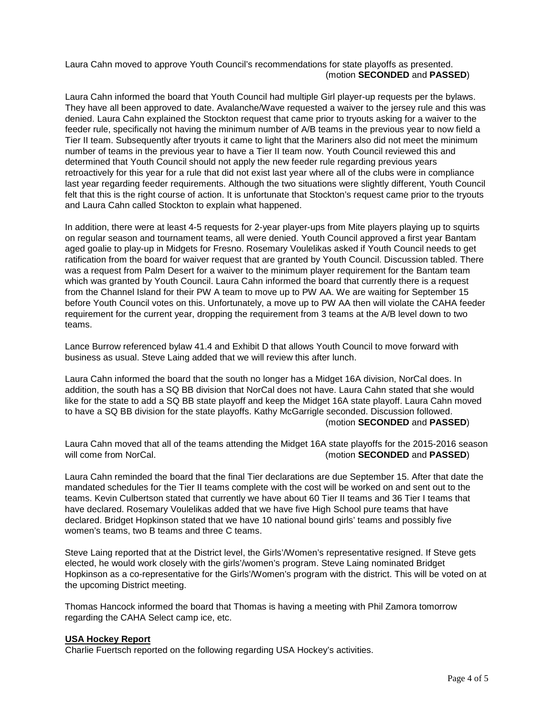Laura Cahn moved to approve Youth Council's recommendations for state playoffs as presented. (motion **SECONDED** and **PASSED**)

Laura Cahn informed the board that Youth Council had multiple Girl player-up requests per the bylaws. They have all been approved to date. Avalanche/Wave requested a waiver to the jersey rule and this was denied. Laura Cahn explained the Stockton request that came prior to tryouts asking for a waiver to the feeder rule, specifically not having the minimum number of A/B teams in the previous year to now field a Tier II team. Subsequently after tryouts it came to light that the Mariners also did not meet the minimum number of teams in the previous year to have a Tier II team now. Youth Council reviewed this and determined that Youth Council should not apply the new feeder rule regarding previous years retroactively for this year for a rule that did not exist last year where all of the clubs were in compliance last year regarding feeder requirements. Although the two situations were slightly different, Youth Council felt that this is the right course of action. It is unfortunate that Stockton's request came prior to the tryouts and Laura Cahn called Stockton to explain what happened.

In addition, there were at least 4-5 requests for 2-year player-ups from Mite players playing up to squirts on regular season and tournament teams, all were denied. Youth Council approved a first year Bantam aged goalie to play-up in Midgets for Fresno. Rosemary Voulelikas asked if Youth Council needs to get ratification from the board for waiver request that are granted by Youth Council. Discussion tabled. There was a request from Palm Desert for a waiver to the minimum player requirement for the Bantam team which was granted by Youth Council. Laura Cahn informed the board that currently there is a request from the Channel Island for their PW A team to move up to PW AA. We are waiting for September 15 before Youth Council votes on this. Unfortunately, a move up to PW AA then will violate the CAHA feeder requirement for the current year, dropping the requirement from 3 teams at the A/B level down to two teams.

Lance Burrow referenced bylaw 41.4 and Exhibit D that allows Youth Council to move forward with business as usual. Steve Laing added that we will review this after lunch.

Laura Cahn informed the board that the south no longer has a Midget 16A division, NorCal does. In addition, the south has a SQ BB division that NorCal does not have. Laura Cahn stated that she would like for the state to add a SQ BB state playoff and keep the Midget 16A state playoff. Laura Cahn moved to have a SQ BB division for the state playoffs. Kathy McGarrigle seconded. Discussion followed. (motion **SECONDED** and **PASSED**)

Laura Cahn moved that all of the teams attending the Midget 16A state playoffs for the 2015-2016 season will come from NorCal. (motion **SECONDED** and **PASSED**)

Laura Cahn reminded the board that the final Tier declarations are due September 15. After that date the mandated schedules for the Tier II teams complete with the cost will be worked on and sent out to the teams. Kevin Culbertson stated that currently we have about 60 Tier II teams and 36 Tier I teams that have declared. Rosemary Voulelikas added that we have five High School pure teams that have declared. Bridget Hopkinson stated that we have 10 national bound girls' teams and possibly five women's teams, two B teams and three C teams.

Steve Laing reported that at the District level, the Girls'/Women's representative resigned. If Steve gets elected, he would work closely with the girls'/women's program. Steve Laing nominated Bridget Hopkinson as a co-representative for the Girls'/Women's program with the district. This will be voted on at the upcoming District meeting.

Thomas Hancock informed the board that Thomas is having a meeting with Phil Zamora tomorrow regarding the CAHA Select camp ice, etc.

### **USA Hockey Report**

Charlie Fuertsch reported on the following regarding USA Hockey's activities.